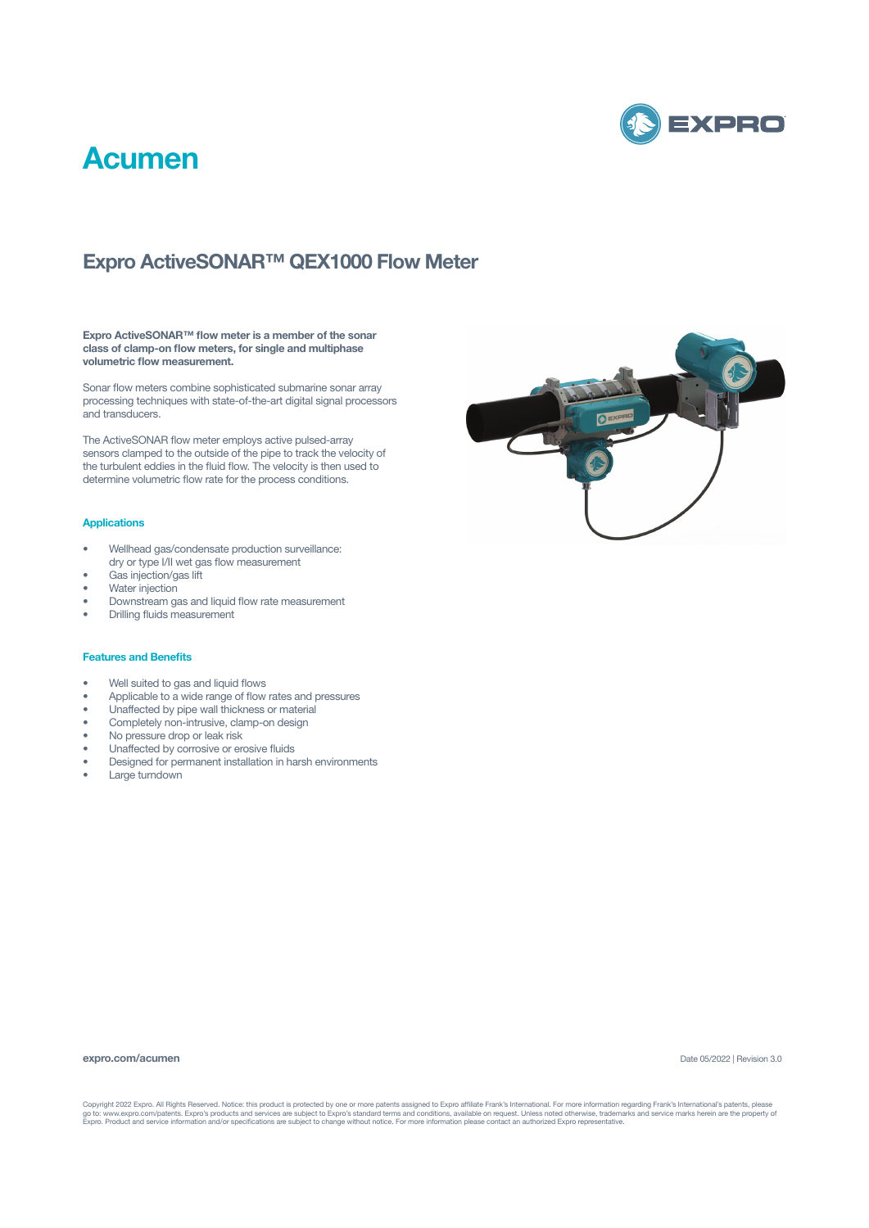

## **Acumen**

### **Expro ActiveSONAR™ QEX1000 Flow Meter**

**Expro ActiveSONAR™ flow meter is a member of the sonar class of clamp-on flow meters, for single and multiphase volumetric flow measurement.** 

Sonar flow meters combine sophisticated submarine sonar array processing techniques with state-of-the-art digital signal processors and transducers.

The ActiveSONAR flow meter employs active pulsed-array sensors clamped to the outside of the pipe to track the velocity of the turbulent eddies in the fluid flow. The velocity is then used to determine volumetric flow rate for the process conditions.

### **Applications**

- Wellhead gas/condensate production surveillance: dry or type I/II wet gas flow measurement
- Gas injection/gas lift
- Water injection
- Downstream gas and liquid flow rate measurement
- Drilling fluids measurement

#### **Features and Benefits**

- Well suited to gas and liquid flows
- Applicable to a wide range of flow rates and pressures
- Unaffected by pipe wall thickness or material
- Completely non-intrusive, clamp-on design
- No pressure drop or leak risk
- Unaffected by corrosive or erosive fluids
- Designed for permanent installation in harsh environments
- Large turndown



#### **expro.com/acumen**

Date 05/2022 | Revision 3.0

Copyright 2022 Expro. All Rights Reserved. Notice: this product is protected by one or more patents assigned to Expro affiliate Frank's International. For more information regarding Frank's International's patents, please<br>